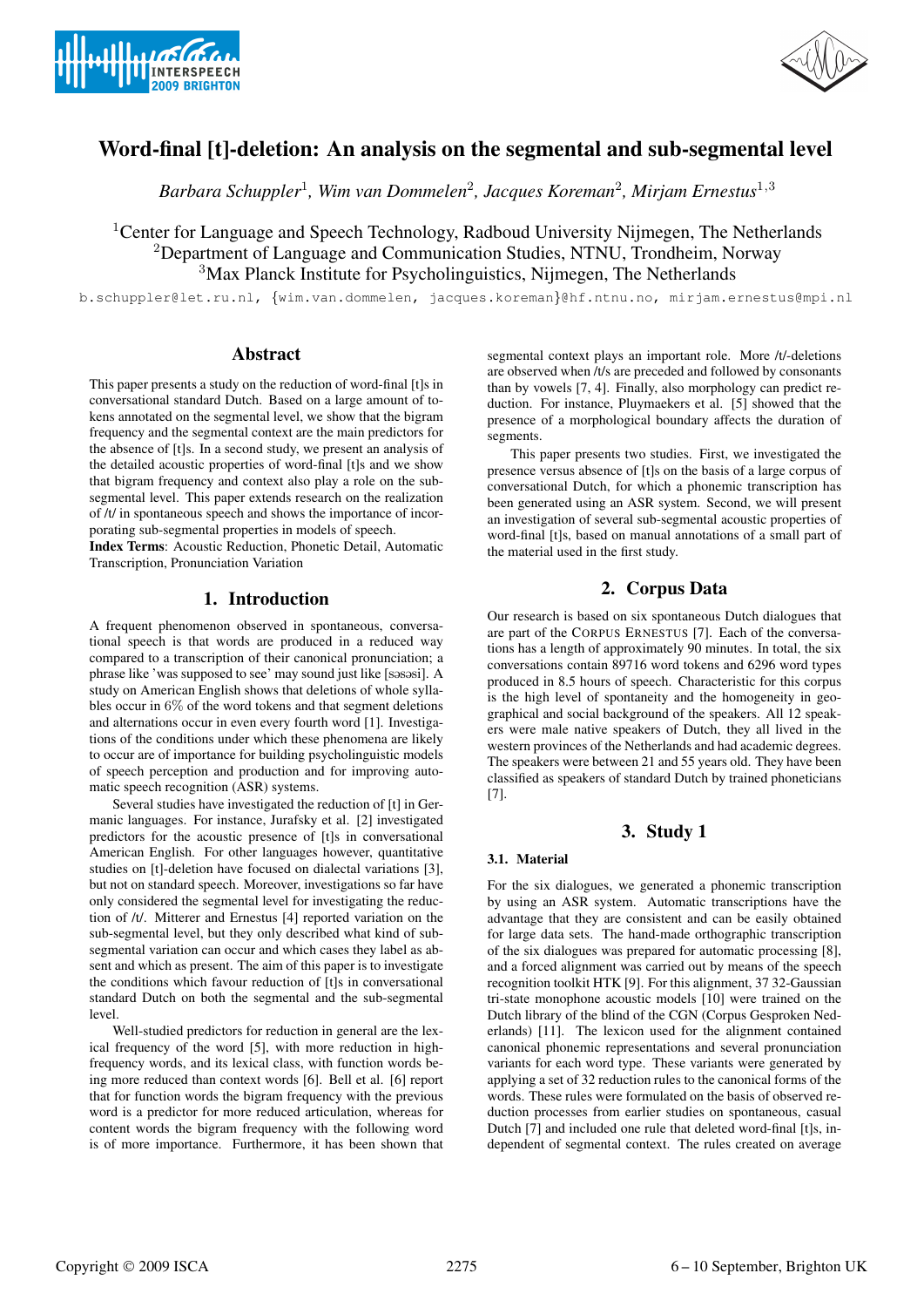



# Word-final [t]-deletion: An analysis on the segmental and sub-segmental level

*Barbara Schuppler*<sup>1</sup> *, Wim van Dommelen*<sup>2</sup> *, Jacques Koreman*<sup>2</sup> *, Mirjam Ernestus*<sup>1</sup>,<sup>3</sup>

<sup>1</sup>Center for Language and Speech Technology, Radboud University Nijmegen, The Netherlands <sup>2</sup>Department of Language and Communication Studies, NTNU, Trondheim, Norway <sup>3</sup>Max Planck Institute for Psycholinguistics, Nijmegen, The Netherlands

b.schuppler@let.ru.nl, {wim.van.dommelen, jacques.koreman}@hf.ntnu.no, mirjam.ernestus@mpi.nl

# **Abstract**

This paper presents a study on the reduction of word-final [t]s in conversational standard Dutch. Based on a large amount of tokens annotated on the segmental level, we show that the bigram frequency and the segmental context are the main predictors for the absence of [t]s. In a second study, we present an analysis of the detailed acoustic properties of word-final [t]s and we show that bigram frequency and context also play a role on the subsegmental level. This paper extends research on the realization of /t/ in spontaneous speech and shows the importance of incorporating sub-segmental properties in models of speech.

Index Terms: Acoustic Reduction, Phonetic Detail, Automatic Transcription, Pronunciation Variation

# 1. Introduction

A frequent phenomenon observed in spontaneous, conversational speech is that words are produced in a reduced way compared to a transcription of their canonical pronunciation; a phrase like 'was supposed to see' may sound just like [sasasi]. A study on American English shows that deletions of whole syllables occur in 6% of the word tokens and that segment deletions and alternations occur in even every fourth word [1]. Investigations of the conditions under which these phenomena are likely to occur are of importance for building psycholinguistic models of speech perception and production and for improving automatic speech recognition (ASR) systems.

Several studies have investigated the reduction of [t] in Germanic languages. For instance, Jurafsky et al. [2] investigated predictors for the acoustic presence of [t]s in conversational American English. For other languages however, quantitative studies on [t]-deletion have focused on dialectal variations [3], but not on standard speech. Moreover, investigations so far have only considered the segmental level for investigating the reduction of /t/. Mitterer and Ernestus [4] reported variation on the sub-segmental level, but they only described what kind of subsegmental variation can occur and which cases they label as absent and which as present. The aim of this paper is to investigate the conditions which favour reduction of [t]s in conversational standard Dutch on both the segmental and the sub-segmental level.

Well-studied predictors for reduction in general are the lexical frequency of the word [5], with more reduction in highfrequency words, and its lexical class, with function words being more reduced than context words [6]. Bell et al. [6] report that for function words the bigram frequency with the previous word is a predictor for more reduced articulation, whereas for content words the bigram frequency with the following word is of more importance. Furthermore, it has been shown that segmental context plays an important role. More /t/-deletions are observed when /t/s are preceded and followed by consonants than by vowels [7, 4]. Finally, also morphology can predict reduction. For instance, Pluymaekers et al. [5] showed that the presence of a morphological boundary affects the duration of segments.

This paper presents two studies. First, we investigated the presence versus absence of [t]s on the basis of a large corpus of conversational Dutch, for which a phonemic transcription has been generated using an ASR system. Second, we will present an investigation of several sub-segmental acoustic properties of word-final [t]s, based on manual annotations of a small part of the material used in the first study.

# 2. Corpus Data

Our research is based on six spontaneous Dutch dialogues that are part of the CORPUS ERNESTUS [7]. Each of the conversations has a length of approximately 90 minutes. In total, the six conversations contain 89716 word tokens and 6296 word types produced in 8.5 hours of speech. Characteristic for this corpus is the high level of spontaneity and the homogeneity in geographical and social background of the speakers. All 12 speakers were male native speakers of Dutch, they all lived in the western provinces of the Netherlands and had academic degrees. The speakers were between 21 and 55 years old. They have been classified as speakers of standard Dutch by trained phoneticians [7].

# 3. Study 1

# 3.1. Material

For the six dialogues, we generated a phonemic transcription by using an ASR system. Automatic transcriptions have the advantage that they are consistent and can be easily obtained for large data sets. The hand-made orthographic transcription of the six dialogues was prepared for automatic processing [8], and a forced alignment was carried out by means of the speech recognition toolkit HTK [9]. For this alignment, 37 32-Gaussian tri-state monophone acoustic models [10] were trained on the Dutch library of the blind of the CGN (Corpus Gesproken Nederlands) [11]. The lexicon used for the alignment contained canonical phonemic representations and several pronunciation variants for each word type. These variants were generated by applying a set of 32 reduction rules to the canonical forms of the words. These rules were formulated on the basis of observed reduction processes from earlier studies on spontaneous, casual Dutch [7] and included one rule that deleted word-final [t]s, independent of segmental context. The rules created on average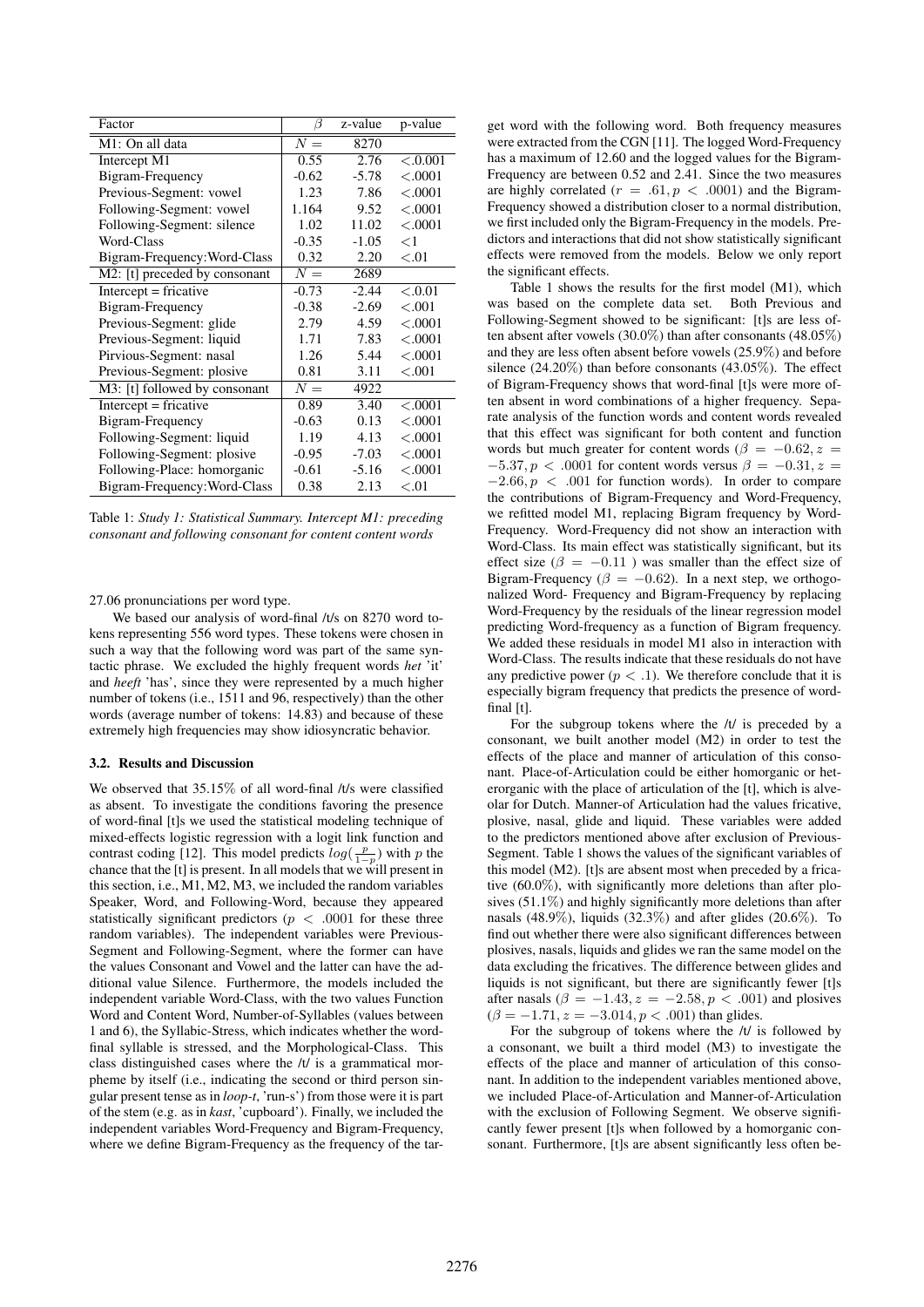| Factor                        | 13      | z-value | p-value   |
|-------------------------------|---------|---------|-----------|
| M1: On all data               | $N =$   | 8270    |           |
| Intercept M1                  | 0.55    | 2.76    | $-.0.001$ |
| Bigram-Frequency              | $-0.62$ | $-5.78$ | < .0001   |
| Previous-Segment: vowel       | 1.23    | 7.86    | < .0001   |
| Following-Segment: vowel      | 1.164   | 9.52    | < .0001   |
| Following-Segment: silence    | 1.02    | 11.02   | < .0001   |
| Word-Class                    | $-0.35$ | $-1.05$ | ${<}1$    |
| Bigram-Frequency: Word-Class  | 0.32    | 2.20    | < 0.01    |
| M2: [t] preceded by consonant | $N =$   | 2689    |           |
| $Intercept = fricative$       | $-0.73$ | $-2.44$ | < 0.01    |
| Bigram-Frequency              | $-0.38$ | $-2.69$ | < 0.001   |
| Previous-Segment: glide       | 2.79    | 4.59    | < .0001   |
| Previous-Segment: liquid      | 1.71    | 7.83    | < .0001   |
| Pirvious-Segment: nasal       | 1.26    | 5.44    | < .0001   |
| Previous-Segment: plosive     | 0.81    | 3.11    | < 0.001   |
| M3: [t] followed by consonant | $N =$   | 4922    |           |
| $Intercept = fricative$       | 0.89    | 3.40    | < .0001   |
| Bigram-Frequency              | $-0.63$ | 0.13    | < .0001   |
| Following-Segment: liquid     | 1.19    | 4.13    | < .0001   |
| Following-Segment: plosive    | $-0.95$ | $-7.03$ | < .0001   |
| Following-Place: homorganic   | $-0.61$ | $-5.16$ | < .0001   |
| Bigram-Frequency: Word-Class  | 0.38    | 2.13    | < 0.01    |

Table 1: *Study 1: Statistical Summary. Intercept M1: preceding consonant and following consonant for content content words*

27.06 pronunciations per word type.

We based our analysis of word-final /t/s on 8270 word tokens representing 556 word types. These tokens were chosen in such a way that the following word was part of the same syntactic phrase. We excluded the highly frequent words *het* 'it' and *heeft* 'has', since they were represented by a much higher number of tokens (i.e., 1511 and 96, respectively) than the other words (average number of tokens: 14.83) and because of these extremely high frequencies may show idiosyncratic behavior.

### 3.2. Results and Discussion

We observed that 35.15% of all word-final /t/s were classified as absent. To investigate the conditions favoring the presence of word-final [t]s we used the statistical modeling technique of mixed-effects logistic regression with a logit link function and contrast coding [12]. This model predicts  $log(\frac{p}{1-p})$  with p the chance that the [t] is present. In all models that we will present in this section, i.e., M1, M2, M3, we included the random variables Speaker, Word, and Following-Word, because they appeared statistically significant predictors ( $p < .0001$  for these three random variables). The independent variables were Previous-Segment and Following-Segment, where the former can have the values Consonant and Vowel and the latter can have the additional value Silence. Furthermore, the models included the independent variable Word-Class, with the two values Function Word and Content Word, Number-of-Syllables (values between 1 and 6), the Syllabic-Stress, which indicates whether the wordfinal syllable is stressed, and the Morphological-Class. This class distinguished cases where the /t/ is a grammatical morpheme by itself (i.e., indicating the second or third person singular present tense as in *loop-t*, 'run-s') from those were it is part of the stem (e.g. as in *kast*, 'cupboard'). Finally, we included the independent variables Word-Frequency and Bigram-Frequency, where we define Bigram-Frequency as the frequency of the target word with the following word. Both frequency measures were extracted from the CGN [11]. The logged Word-Frequency has a maximum of 12.60 and the logged values for the Bigram-Frequency are between 0.52 and 2.41. Since the two measures are highly correlated ( $r = .61, p < .0001$ ) and the Bigram-Frequency showed a distribution closer to a normal distribution, we first included only the Bigram-Frequency in the models. Predictors and interactions that did not show statistically significant effects were removed from the models. Below we only report the significant effects.

Table 1 shows the results for the first model (M1), which was based on the complete data set. Both Previous and Following-Segment showed to be significant: [t]s are less often absent after vowels (30.0%) than after consonants (48.05%) and they are less often absent before vowels (25.9%) and before silence (24.20%) than before consonants (43.05%). The effect of Bigram-Frequency shows that word-final [t]s were more often absent in word combinations of a higher frequency. Separate analysis of the function words and content words revealed that this effect was significant for both content and function words but much greater for content words ( $\beta = -0.62$ ,  $z =$  $-5.37, p < .0001$  for content words versus  $\beta = -0.31, z =$  $-2.66, p < .001$  for function words). In order to compare the contributions of Bigram-Frequency and Word-Frequency, we refitted model M1, replacing Bigram frequency by Word-Frequency. Word-Frequency did not show an interaction with Word-Class. Its main effect was statistically significant, but its effect size ( $\beta = -0.11$ ) was smaller than the effect size of Bigram-Frequency ( $\beta = -0.62$ ). In a next step, we orthogonalized Word- Frequency and Bigram-Frequency by replacing Word-Frequency by the residuals of the linear regression model predicting Word-frequency as a function of Bigram frequency. We added these residuals in model M1 also in interaction with Word-Class. The results indicate that these residuals do not have any predictive power ( $p < 0.1$ ). We therefore conclude that it is especially bigram frequency that predicts the presence of wordfinal [t].

For the subgroup tokens where the /t/ is preceded by a consonant, we built another model (M2) in order to test the effects of the place and manner of articulation of this consonant. Place-of-Articulation could be either homorganic or heterorganic with the place of articulation of the [t], which is alveolar for Dutch. Manner-of Articulation had the values fricative, plosive, nasal, glide and liquid. These variables were added to the predictors mentioned above after exclusion of Previous-Segment. Table 1 shows the values of the significant variables of this model (M2). [t]s are absent most when preceded by a fricative (60.0%), with significantly more deletions than after plosives (51.1%) and highly significantly more deletions than after nasals (48.9%), liquids (32.3%) and after glides (20.6%). To find out whether there were also significant differences between plosives, nasals, liquids and glides we ran the same model on the data excluding the fricatives. The difference between glides and liquids is not significant, but there are significantly fewer [t]s after nasals ( $\beta = -1.43$ ,  $z = -2.58$ ,  $p < .001$ ) and plosives  $(\beta = -1.71, z = -3.014, p < .001)$  than glides.

For the subgroup of tokens where the /t/ is followed by a consonant, we built a third model (M3) to investigate the effects of the place and manner of articulation of this consonant. In addition to the independent variables mentioned above, we included Place-of-Articulation and Manner-of-Articulation with the exclusion of Following Segment. We observe significantly fewer present [t]s when followed by a homorganic consonant. Furthermore, [t]s are absent significantly less often be-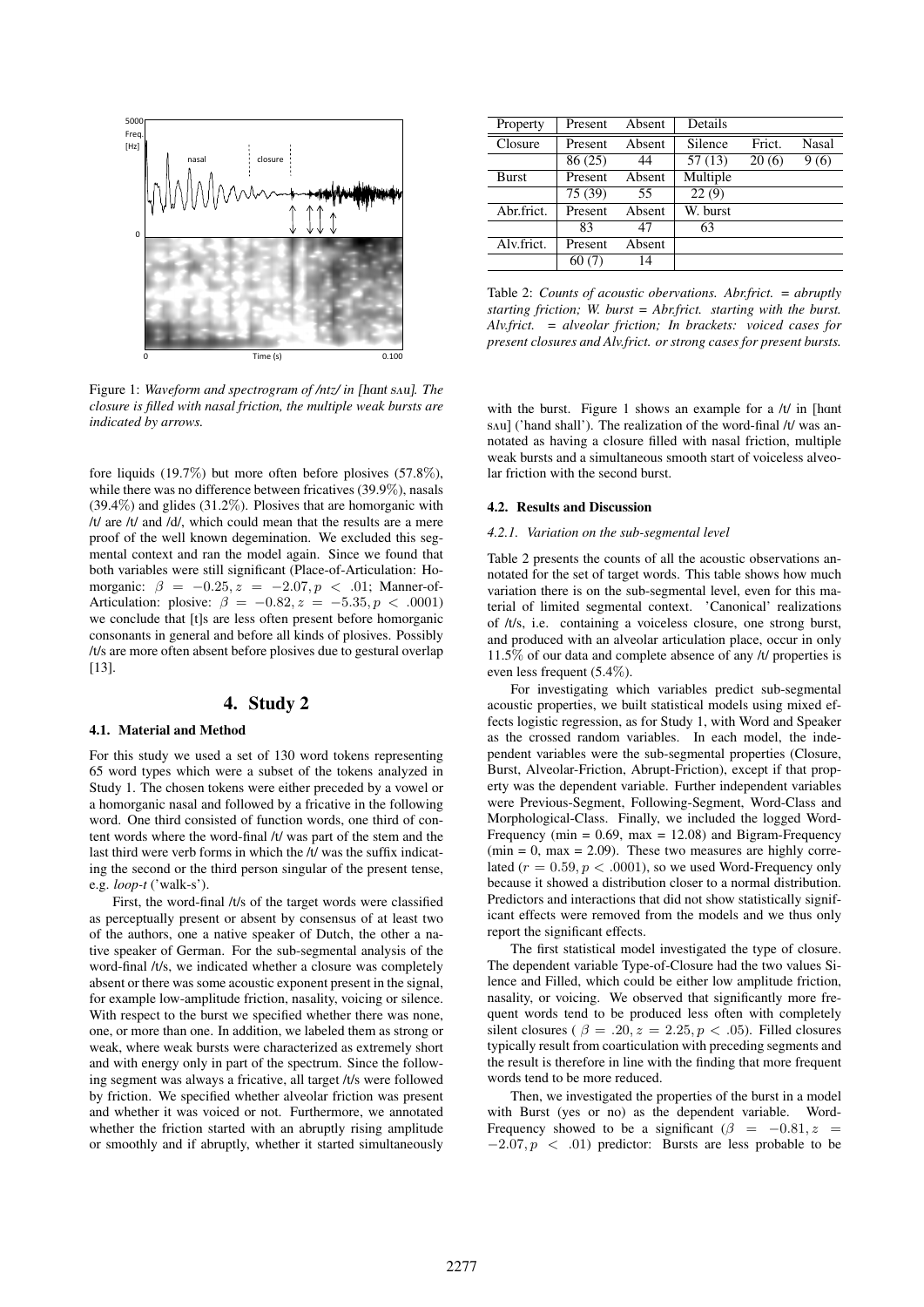

+#,-.% \*/ 012%34.\$ 156 '7%89.4,.1\$ 43 :59;: #5 *!"#\$ %&'*) "<% .%1=#;19#45 43 9<% >4.6"3#51= :9: >1' 1554919%6 1' <12#5, 1 8=4'-.% 3#==%6 >#9< 51'1= 3.#89#45? \$-=9#7=% >%1@ A-.'9' &#56#819%6 AB 1..4>'( *closure is filled with nasal friction, the multiple weak bursts are indicated by arrows.* Figure 1: *Waveform and spectrogram of /ntz/ in [hant sAu]. The* 

fore liquids (19.7%) but more often before plosives (57.8%), while there was no difference between fricatives (39.9%), nasals (39.4%) and glides (31.2%). Plosives that are homorganic with /t/ are /t/ and /d/, which could mean that the results are a mere proof of the well known degemination. We excluded this segmental context and ran the model again. Since we found that both variables were still significant (Place-of-Articulation: Homorganic:  $\beta = -0.25, z = -2.07, p < .01$ ; Manner-of-Articulation: plosive:  $\beta = -0.82, z = -5.35, p < .0001$ ) we conclude that [t]s are less often present before homorganic consonants in general and before all kinds of plosives. Possibly /t/s are more often absent before plosives due to gestural overlap [13].

# 4. Study 2

#### 4.1. Material and Method

For this study we used a set of 130 word tokens representing 65 word types which were a subset of the tokens analyzed in Study 1. The chosen tokens were either preceded by a vowel or a homorganic nasal and followed by a fricative in the following word. One third consisted of function words, one third of content words where the word-final /t/ was part of the stem and the last third were verb forms in which the /t/ was the suffix indicating the second or the third person singular of the present tense, e.g. *loop-t* ('walk-s').

First, the word-final /t/s of the target words were classified as perceptually present or absent by consensus of at least two of the authors, one a native speaker of Dutch, the other a native speaker of German. For the sub-segmental analysis of the word-final /t/s, we indicated whether a closure was completely absent or there was some acoustic exponent present in the signal, for example low-amplitude friction, nasality, voicing or silence. With respect to the burst we specified whether there was none, one, or more than one. In addition, we labeled them as strong or weak, where weak bursts were characterized as extremely short and with energy only in part of the spectrum. Since the following segment was always a fricative, all target /t/s were followed by friction. We specified whether alveolar friction was present and whether it was voiced or not. Furthermore, we annotated whether the friction started with an abruptly rising amplitude or smoothly and if abruptly, whether it started simultaneously

| Property   | Present | Absent | Details  |        |       |
|------------|---------|--------|----------|--------|-------|
| Closure    | Present | Absent | Silence  | Frict. | Nasal |
|            | 86(25)  | 44     | 57(13)   | 20(6)  | 9(6)  |
| Burst      | Present | Absent | Multiple |        |       |
|            | 75 (39) | 55.    | 22(9)    |        |       |
| Abr.frict. | Present | Absent | W. burst |        |       |
|            | 83      | 47     | 63       |        |       |
| Alv.frict. | Present | Absent |          |        |       |
|            | 60(7)   | 14     |          |        |       |

Table 2: *Counts of acoustic obervations. Abr.frict. = abruptly starting friction; W. burst = Abr.frict. starting with the burst. Alv.frict. = alveolar friction; In brackets: voiced cases for present closures and Alv.frict. or strong cases for present bursts.*

with the burst. Figure 1 shows an example for a  $/t/$  in [hant] sAu] ('hand shall'). The realization of the word-final /t/ was annotated as having a closure filled with nasal friction, multiple weak bursts and a simultaneous smooth start of voiceless alveolar friction with the second burst.

#### 4.2. Results and Discussion

#### *4.2.1. Variation on the sub-segmental level*

Table 2 presents the counts of all the acoustic observations annotated for the set of target words. This table shows how much variation there is on the sub-segmental level, even for this material of limited segmental context. 'Canonical' realizations of /t/s, i.e. containing a voiceless closure, one strong burst, and produced with an alveolar articulation place, occur in only 11.5% of our data and complete absence of any /t/ properties is even less frequent (5.4%).

For investigating which variables predict sub-segmental acoustic properties, we built statistical models using mixed effects logistic regression, as for Study 1, with Word and Speaker as the crossed random variables. In each model, the independent variables were the sub-segmental properties (Closure, Burst, Alveolar-Friction, Abrupt-Friction), except if that property was the dependent variable. Further independent variables were Previous-Segment, Following-Segment, Word-Class and Morphological-Class. Finally, we included the logged Word-Frequency (min =  $0.69$ , max =  $12.08$ ) and Bigram-Frequency  $(\text{min} = 0, \text{max} = 2.09)$ . These two measures are highly correlated ( $r = 0.59, p < .0001$ ), so we used Word-Frequency only because it showed a distribution closer to a normal distribution. Predictors and interactions that did not show statistically significant effects were removed from the models and we thus only report the significant effects.

The first statistical model investigated the type of closure. The dependent variable Type-of-Closure had the two values Silence and Filled, which could be either low amplitude friction, nasality, or voicing. We observed that significantly more frequent words tend to be produced less often with completely silent closures ( $\beta = .20, z = 2.25, p < .05$ ). Filled closures typically result from coarticulation with preceding segments and the result is therefore in line with the finding that more frequent words tend to be more reduced.

Then, we investigated the properties of the burst in a model with Burst (yes or no) as the dependent variable. Word-Frequency showed to be a significant ( $\beta$  = −0.81, z =  $-2.07, p \ll .01$ ) predictor: Bursts are less probable to be